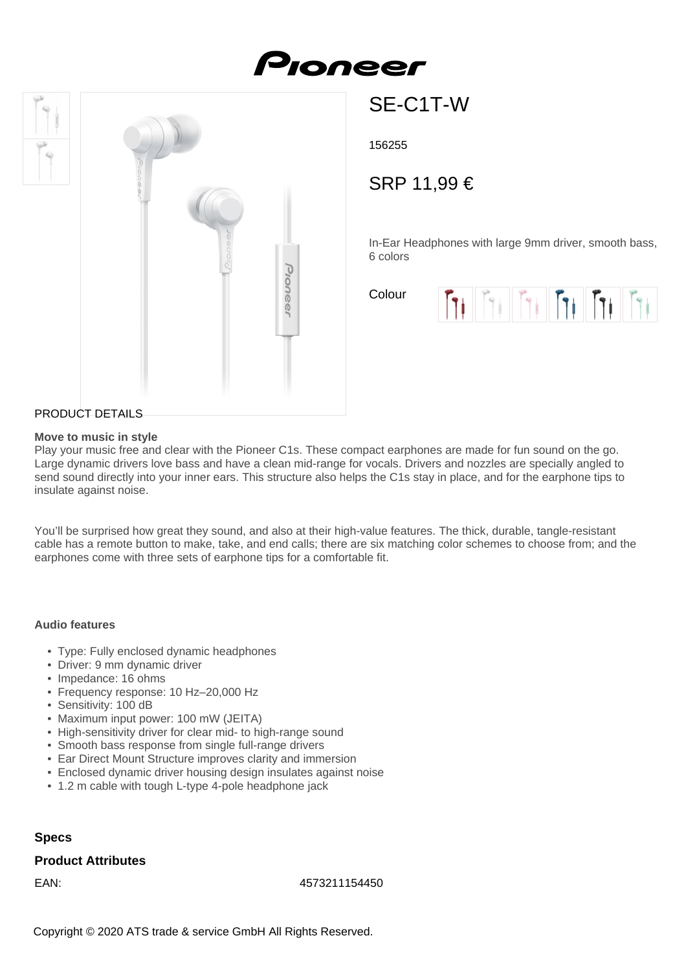# Pioneer



## SE-C1T-W

156255

### SRP 11,99 €

In-Ear Headphones with large 9mm driver, smooth bass, 6 colors

Colour



#### PRODUCT DETAILS

#### **Move to music in style**

Play your music free and clear with the Pioneer C1s. These compact earphones are made for fun sound on the go. Large dynamic drivers love bass and have a clean mid-range for vocals. Drivers and nozzles are specially angled to send sound directly into your inner ears. This structure also helps the C1s stay in place, and for the earphone tips to insulate against noise.

You'll be surprised how great they sound, and also at their high-value features. The thick, durable, tangle-resistant cable has a remote button to make, take, and end calls; there are six matching color schemes to choose from; and the earphones come with three sets of earphone tips for a comfortable fit.

#### **Audio features**

- Type: Fully enclosed dynamic headphones
- Driver: 9 mm dynamic driver
- Impedance: 16 ohms
- Frequency response: 10 Hz–20,000 Hz
- Sensitivity: 100 dB
- Maximum input power: 100 mW (JEITA)
- High-sensitivity driver for clear mid- to high-range sound
- Smooth bass response from single full-range drivers
- Ear Direct Mount Structure improves clarity and immersion
- Enclosed dynamic driver housing design insulates against noise
- 1.2 m cable with tough L-type 4-pole headphone jack

#### **Specs**

#### **Product Attributes**

EAN: 4573211154450